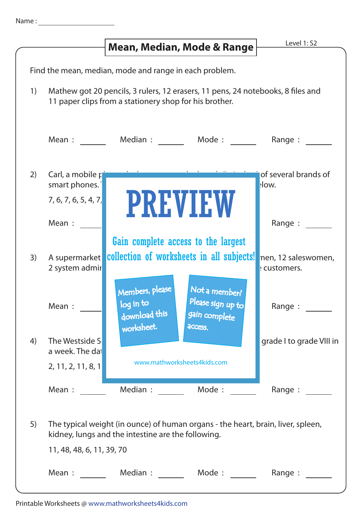|                                                        |                                     | Mean, Median, Mode & Range                                                                                                                | Level 1: S2                         |  |  |
|--------------------------------------------------------|-------------------------------------|-------------------------------------------------------------------------------------------------------------------------------------------|-------------------------------------|--|--|
|                                                        |                                     |                                                                                                                                           |                                     |  |  |
| Find the mean, median, mode and range in each problem. |                                     |                                                                                                                                           |                                     |  |  |
| $\left( \begin{array}{c} 1 \end{array} \right)$        |                                     | Mathew got 20 pencils, 3 rulers, 12 erasers, 11 pens, 24 notebooks, 8 files and<br>11 paper clips from a stationery shop for his brother. |                                     |  |  |
|                                                        | Mean :                              | Median : Mode :                                                                                                                           | Range :                             |  |  |
| 2)                                                     | Carl, a mobile $r$<br>smart phones. |                                                                                                                                           | of several brands of<br>low.        |  |  |
|                                                        | 7, 6, 7, 6, 5, 4, 7<br>Mean :       | <b>PREVIEW</b>                                                                                                                            | Range :                             |  |  |
|                                                        |                                     | Gain complete access to the largest                                                                                                       |                                     |  |  |
| 3)                                                     | A supermarket<br>2 system admir     | collection of worksheets in all subjects!                                                                                                 | nen, 12 saleswomen,<br>: customers. |  |  |
|                                                        | Mean :                              | Members, please<br>Not a member?<br>Please sign up to<br>log in to<br>download this<br>gain complete<br>worksheet.<br>access.             | Range :                             |  |  |
| 4)                                                     | The Westside S<br>a week. The dat   |                                                                                                                                           | grade I to grade VIII in            |  |  |
|                                                        | 2, 11, 2, 11, 8, 1                  | www.mathworksheets4kids.com                                                                                                               |                                     |  |  |
|                                                        | Mean:                               | Median : Mode :                                                                                                                           | Range:                              |  |  |
| 5)                                                     |                                     | The typical weight (in ounce) of human organs - the heart, brain, liver, spleen,<br>kidney, lungs and the intestine are the following.    |                                     |  |  |
|                                                        | 11, 48, 48, 6, 11, 39, 70           |                                                                                                                                           |                                     |  |  |
|                                                        | Mean :                              | Median :<br>Mode :                                                                                                                        | Range:                              |  |  |